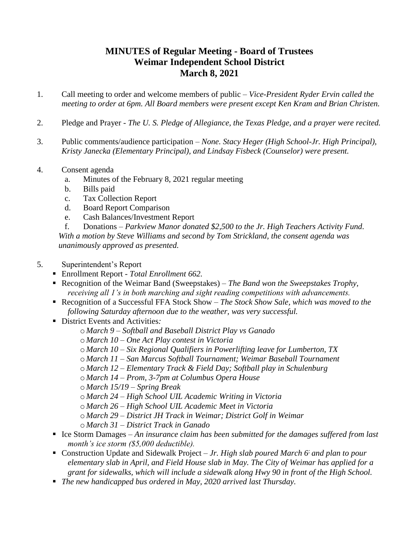## **MINUTES of Regular Meeting - Board of Trustees Weimar Independent School District March 8, 2021**

- 1. Call meeting to order and welcome members of public *Vice-President Ryder Ervin called the meeting to order at 6pm. All Board members were present except Ken Kram and Brian Christen.*
- 2. Pledge and Prayer *The U. S. Pledge of Allegiance, the Texas Pledge, and a prayer were recited.*
- 3. Public comments/audience participation *None. Stacy Heger (High School-Jr. High Principal), Kristy Janecka (Elementary Principal), and Lindsay Fisbeck (Counselor) were present.*
- 4. Consent agenda
	- a. Minutes of the February 8, 2021 regular meeting
	- b. Bills paid
	- c. Tax Collection Report
	- d. Board Report Comparison
	- e. Cash Balances/Investment Report

f. Donations – *Parkview Manor donated \$2,500 to the Jr. High Teachers Activity Fund. With a motion by Steve Williams and second by Tom Strickland, the consent agenda was unanimously approved as presented.*

## 5. Superintendent's Report

- Enrollment Report *- Total Enrollment 662.*
- Recognition of the Weimar Band (Sweepstakes)  *The Band won the Sweepstakes Trophy*, *receiving all 1's in both marching and sight reading competitions with advancements.*
- Recognition of a Successful FFA Stock Show *– The Stock Show Sale, which was moved to the following Saturday afternoon due to the weather, was very successful.*
- District Events and Activities*:*
	- o *March 9 – Softball and Baseball District Play vs Ganado*
	- o *March 10 – One Act Play contest in Victoria*
	- o *March 10 – Six Regional Qualifiers in Powerlifting leave for Lumberton, TX*
	- o *March 11 – San Marcus Softball Tournament; Weimar Baseball Tournament*
	- o *March 12 – Elementary Track & Field Day; Softball play in Schulenburg*
	- o *March 14 – Prom, 3-7pm at Columbus Opera House*

o *March 15/19 – Spring Break*

- o *March 24 – High School UIL Academic Writing in Victoria*
- o *March 26 – High School UIL Academic Meet in Victoria*
- o *March 29 – District JH Track in Weimar; District Golf in Weimar*
- o *March 31 – District Track in Ganado*
- Ice Storm Damages An insurance claim has been submitted for the damages suffered from last *month's ice storm (\$5,000 deductible).*
- Construction Update and Sidewalk Project *Jr. High slab poured March 6<sup><i>i*</sup> and plan to pour *elementary slab in April, and Field House slab in May. The City of Weimar has applied for a grant for sidewalks, which will include a sidewalk along Hwy 90 in front of the High School.*
- *The new handicapped bus ordered in May, 2020 arrived last Thursday.*